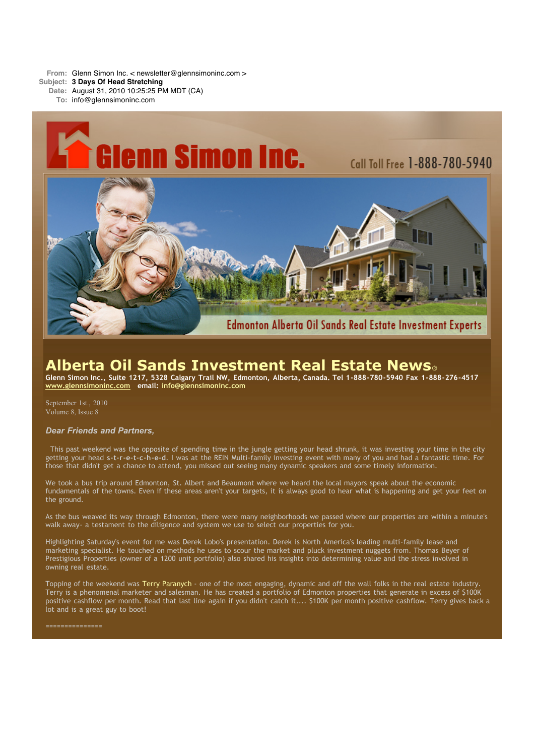**From:** Glenn Simon Inc. < newsletter@glennsimoninc.com >

- **Subject: 3 Days Of Head Stretching**
	- **Date:** August 31, 2010 10:25:25 PM MDT (CA)
		- **To:** info@glennsimoninc.com



# **Alberta Oil Sands Investment Real Estate News**®

Glenn Simon Inc., Suite 1217, 5328 Calgary Trail NW, Edmonton, Alberta, Canada. Tel 1-888-780-5940 Fax 1-888-276-4517 **[www.glennsimoninc.com](http://www.glennsimoninc.com/) email: [info@glennsimoninc.com](mailto:info@glennsimoninc.com)**

September 1st., 2010 Volume 8, Issue 8

## *Dear Friends and Partners,*

This past weekend was the opposite of spending time in the jungle getting your head shrunk, it was investing your time in the city getting your head **s-t-r-e-t-c-h-e-d**. I was at the REIN Multi-family investing event with many of you and had a fantastic time. For those that didn't get a chance to attend, you missed out seeing many dynamic speakers and some timely information.

We took a bus trip around Edmonton, St. Albert and Beaumont where we heard the local mayors speak about the economic fundamentals of the towns. Even if these areas aren't your targets, it is always good to hear what is happening and get your feet on the ground.

As the bus weaved its way through Edmonton, there were many neighborhoods we passed where our properties are within a minute's walk away- a testament to the diligence and system we use to select our properties for you.

Highlighting Saturday's event for me was Derek Lobo's presentation. Derek is North America's leading multi-family lease and marketing specialist. He touched on methods he uses to scour the market and pluck investment nuggets from. Thomas Beyer of Prestigious Properties (owner of a 1200 unit portfolio) also shared his insights into determining value and the stress involved in owning real estate.

Topping of the weekend was Terry [Paranych](http://www.paranych.com/about.php) - one of the most engaging, dynamic and off the wall folks in the real estate industry. Terry is a phenomenal marketer and salesman. He has created a portfolio of Edmonton properties that generate in excess of \$100K positive cashflow per month. Read that last line again if you didn't catch it.... \$100K per month positive cashflow. Terry gives back a lot and is a great guy to boot!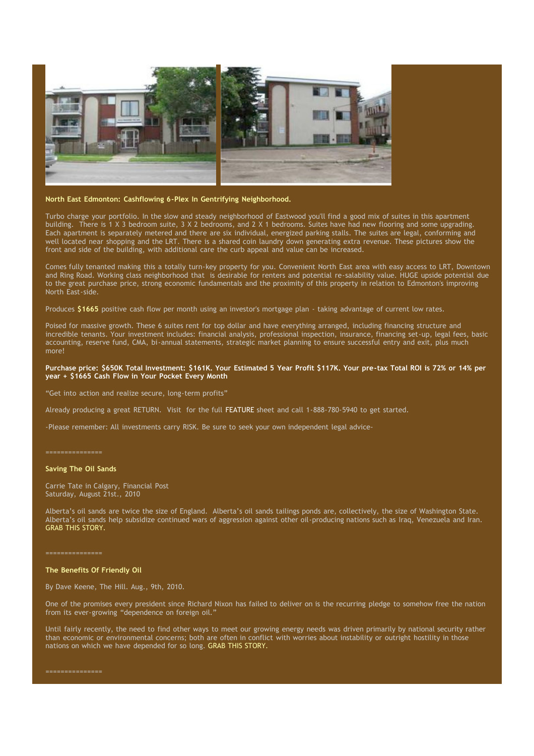

#### **North East Edmonton: Cashflowing 6-Plex In Gentrifying [Neighborhood.](http://www.glennsimoninc.com/featured_detail.php?id=74)**

Turbo charge your portfolio. In the slow and steady neighborhood of Eastwood you'll find a good mix of suites in this apartment building. There is 1 X 3 bedroom suite, 3 X 2 bedrooms, and 2 X 1 bedrooms. Suites have had new flooring and some upgrading. Each apartment is separately metered and there are six individual, energized parking stalls. The suites are legal, conforming and well located near shopping and the LRT. There is a shared coin laundry down generating extra revenue. These pictures show the front and side of the building, with additional care the curb appeal and value can be increased.

Comes fully tenanted making this a totally turn-key property for you. Convenient North East area with easy access to LRT, Downtown and Ring Road. Working class neighborhood that is desirable for renters and potential re-salability value. HUGE upside potential due to the great purchase price, strong economic fundamentals and the proximity of this property in relation to Edmonton's improving North East-side.

Produces **\$1665** positive cash flow per month using an investor's mortgage plan - taking advantage of current low rates.

Poised for massive growth. These 6 suites rent for top dollar and have everything arranged, including financing structure and incredible tenants. Your investment includes: financial analysis, professional inspection, insurance, financing set-up, legal fees, basic accounting, reserve fund, CMA, bi-annual statements, strategic market planning to ensure successful entry and exit, plus much more!

### Purchase price: \$650K Total [Investment:](http://www.glennsimoninc.com/featured_detail.php?id=74) \$161K. Your Estimated 5 Year Profit \$117K. Your pre-tax Total ROI is 72% or 14% per **year + \$1665 Cash Flow in Your Pocket Every Month**

"Get into action and realize secure, long-term profits"

Already producing a great RETURN. Visit for the full [FEATURE](http://www.glennsimoninc.com/featured_detail.php?id=74) sheet and call 1-888-780-5940 to get started.

-Please remember: All investments carry RISK. Be sure to seek your own independent legal advice-

===============

# **Saving The Oil Sands**

Carrie Tate in Calgary, Financial Post Saturday, August 21st., 2010

Alberta's oil sands are twice the size of England. Alberta's oil sands tailings ponds are, collectively, the size of Washington State. Alberta's oil sands help subsidize continued wars of aggression against other oil-producing nations such as Iraq, Venezuela and Iran. GRAB THIS [STORY.](http://www.nationalpost.com/Saving+sands/3424776/story.html)

===============

#### **The Benefits Of Friendly Oil**

By Dave Keene, The Hill. Aug., 9th, 2010.

One of the promises every president since Richard Nixon has failed to deliver on is the recurring pledge to somehow free the nation from its ever-growing "dependence on foreign oil."

Until fairly recently, the need to find other ways to meet our growing energy needs was driven primarily by national security rather than economic or environmental concerns; both are often in conflict with worries about instability or outright hostility in those nations on which we have depended for so long. GRAB THIS [STORY.](http://thehill.com/opinion/columnists/david-keene/113385-the-benefits-of-friendly-oil)